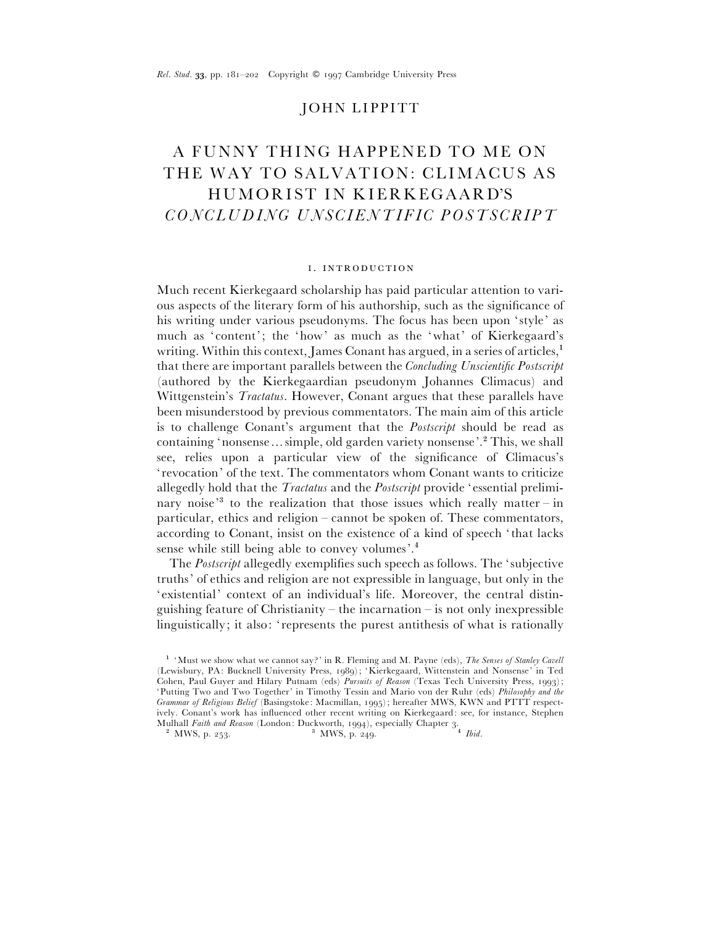# A FUNNY THING HAPPENED TO ME ON THE WAY TO SALVATION: CLIMACUS AS HUMORIST IN KIERKEGAARD'S *CONCLUDING UNSCIENTIFIC POSTSCRIPT*

## I. INTRODUCTION

Much recent Kierkegaard scholarship has paid particular attention to various aspects of the literary form of his authorship, such as the significance of his writing under various pseudonyms. The focus has been upon 'style' as much as 'content'; the 'how' as much as the 'what' of Kierkegaard's writing. Within this context, James Conant has argued, in a series of articles,<sup>1</sup> that there are important parallels between the *Concluding Unscientific Postscript* (authored by the Kierkegaardian pseudonym Johannes Climacus) and Wittgenstein's *Tractatus*. However, Conant argues that these parallels have been misunderstood by previous commentators. The main aim of this article is to challenge Conant's argument that the *Postscript* should be read as containing 'nonsense... simple, old garden variety nonsense'.<sup>2</sup> This, we shall see, relies upon a particular view of the significance of Climacus's ' revocation' of the text. The commentators whom Conant wants to criticize allegedly hold that the *Tractatus* and the *Postscript* provide 'essential preliminary noise<sup>33</sup> to the realization that those issues which really matter – in particular, ethics and religion – cannot be spoken of. These commentators, according to Conant, insist on the existence of a kind of speech ' that lacks sense while still being able to convey volumes'.<sup>4</sup>

The *Postscript* allegedly exemplifies such speech as follows. The ' subjective truths' of ethics and religion are not expressible in language, but only in the 'existential' context of an individual's life. Moreover, the central distinguishing feature of Christianity – the incarnation – is not only inexpressible linguistically; it also: 'represents the purest antithesis of what is rationally

<sup>&</sup>quot; 'Must we show what we cannot say ?' in R. Fleming and M. Payne (eds), *The Senses of Stanley Cavell* (Lewisbury, PA: Bucknell University Press, 1989); 'Kierkegaard, Wittenstein and Nonsense' in Ted Cohen, Paul Guyer and Hilary Putnam (eds) *Pursuits of Reason* (Texas Tech University Press, 1993); 'Putting Two and Two Together' in Timothy Tessin and Mario von der Ruhr (eds) *Philosophy and the Grammar of Religious Belief* (Basingstoke: Macmillan, 1995); hereafter MWS, KWN and PTTT respectively. Conant's work has influenced other recent writing on Kierkegaard: see, for instance, Stephen Mulhall *Faith and Reason* (London: Duckworth, 1994), especially Chapter 3.<br><sup>2</sup> MWS, p. 253. <sup>3</sup> MWS, p. 249.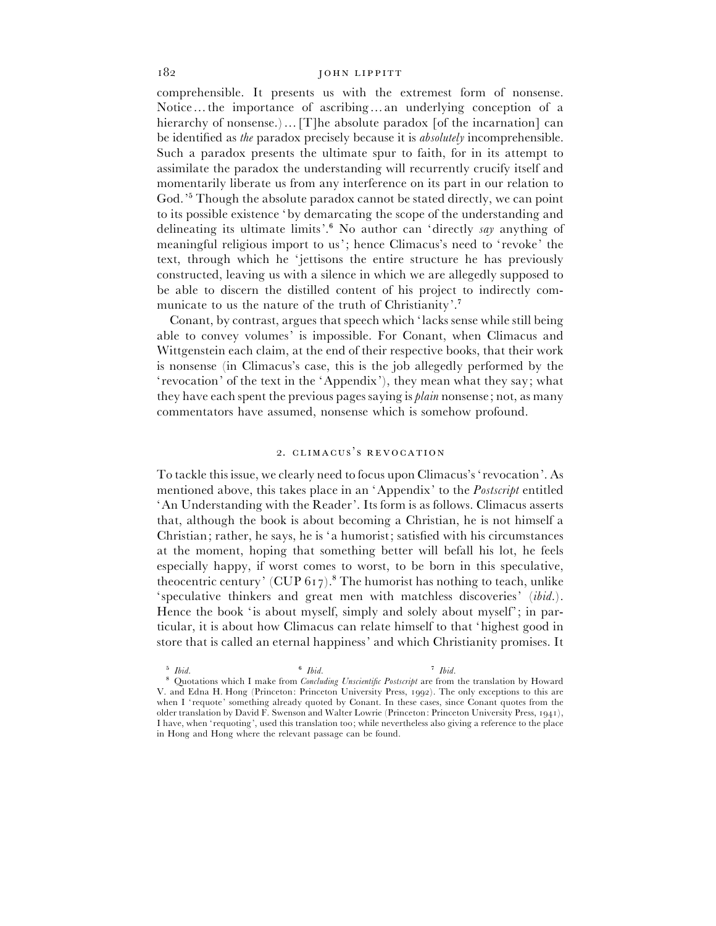comprehensible. It presents us with the extremest form of nonsense. Notice… the importance of ascribing… an underlying conception of a hierarchy of nonsense.)... [T]he absolute paradox [of the incarnation] can be identified as *the* paradox precisely because it is *absolutely* incomprehensible. Such a paradox presents the ultimate spur to faith, for in its attempt to assimilate the paradox the understanding will recurrently crucify itself and momentarily liberate us from any interference on its part in our relation to God.<sup>5</sup> Though the absolute paradox cannot be stated directly, we can point to its possible existence 'by demarcating the scope of the understanding and delineating its ultimate limits'.' No author can 'directly *say* anything of meaningful religious import to us'; hence Climacus's need to ' revoke' the text, through which he 'jettisons the entire structure he has previously constructed, leaving us with a silence in which we are allegedly supposed to be able to discern the distilled content of his project to indirectly communicate to us the nature of the truth of Christianity'.<sup>7</sup>

Conant, by contrast, argues that speech which 'lacks sense while still being able to convey volumes' is impossible. For Conant, when Climacus and Wittgenstein each claim, at the end of their respective books, that their work is nonsense (in Climacus's case, this is the job allegedly performed by the ' revocation' of the text in the 'Appendix'), they mean what they say; what they have each spent the previous pages saying is *plain* nonsense; not, as many commentators have assumed, nonsense which is somehow profound.

## 2. CLIMACUS'S REVOCATION

To tackle this issue, we clearly need to focus upon Climacus's ' revocation'. As mentioned above, this takes place in an 'Appendix' to the *Postscript* entitled 'An Understanding with the Reader'. Its form is as follows. Climacus asserts that, although the book is about becoming a Christian, he is not himself a Christian; rather, he says, he is 'a humorist; satisfied with his circumstances at the moment, hoping that something better will befall his lot, he feels especially happy, if worst comes to worst, to be born in this speculative, theocentric century' (CUP  $617$ ).<sup>8</sup> The humorist has nothing to teach, unlike ' speculative thinkers and great men with matchless discoveries' (*ibid*.). Hence the book 'is about myself, simply and solely about myself'; in particular, it is about how Climacus can relate himself to that 'highest good in store that is called an eternal happiness' and which Christianity promises. It

<sup>&</sup>amp;<sup>5</sup> *Ibid*. <sup>6</sup> *Ibid*. <sup>6</sup> *Ibid*. <sup>7</sup> *Ibid*. ن<br>0

Quotations which I make from *Concluding Unscientific Postscript* are from the translation by Howard V. and Edna H. Hong (Princeton: Princeton University Press,  $1992$ ). The only exceptions to this are when I 'requote' something already quoted by Conant. In these cases, since Conant quotes from the older translation by David F. Swenson and Walter Lowrie (Princeton: Princeton University Press, 1941), I have, when ' requoting', used this translation too; while nevertheless also giving a reference to the place in Hong and Hong where the relevant passage can be found.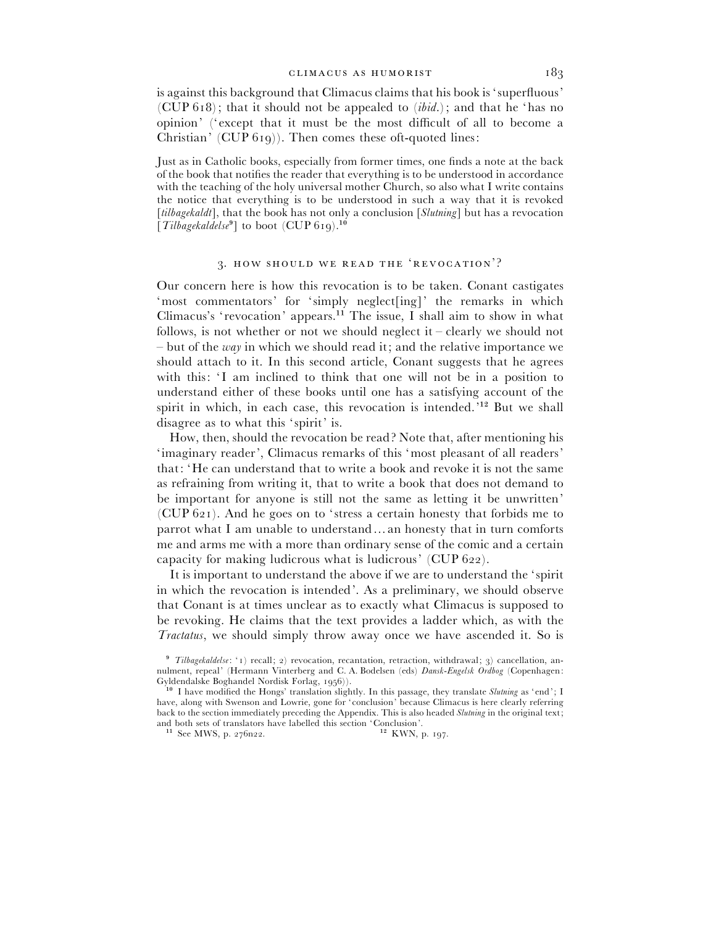is against this background that Climacus claims that his book is ' superfluous' (CUP  $618$ ); that it should not be appealed to *(ibid.)*; and that he 'has no opinion' ('except that it must be the most difficult of all to become a Christian'  $(CUP 619)$ . Then comes these oft-quoted lines:

Just as in Catholic books, especially from former times, one finds a note at the back of the book that notifies the reader that everything is to be understood in accordance with the teaching of the holy universal mother Church, so also what I write contains the notice that everything is to be understood in such a way that it is revoked [*tilbagekaldt*], that the book has not only a conclusion [*Slutning*] but has a revocation  $[Tilbagekaldelse^9]$  to boot  $(CUP 619).^{10}$ 

## 3. HOW SHOULD WE READ THE 'REVOCATION'?

Our concern here is how this revocation is to be taken. Conant castigates 'most commentators' for 'simply neglect[ing]' the remarks in which Climacus's 'revocation' appears.<sup>11</sup> The issue, I shall aim to show in what follows, is not whether or not we should neglect it – clearly we should not – but of the *way* in which we should read it; and the relative importance we should attach to it. In this second article, Conant suggests that he agrees with this: 'I am inclined to think that one will not be in a position to understand either of these books until one has a satisfying account of the spirit in which, in each case, this revocation is intended.<sup>'12</sup> But we shall disagree as to what this 'spirit' is.

How, then, should the revocation be read ? Note that, after mentioning his 'imaginary reader', Climacus remarks of this 'most pleasant of all readers' that: 'He can understand that to write a book and revoke it is not the same as refraining from writing it, that to write a book that does not demand to be important for anyone is still not the same as letting it be unwritten' (CUP  $621$ ). And he goes on to 'stress a certain honesty that forbids me to parrot what I am unable to understand… an honesty that in turn comforts me and arms me with a more than ordinary sense of the comic and a certain capacity for making ludicrous what is ludicrous' (CUP  $622$ ).

It is important to understand the above if we are to understand the ' spirit in which the revocation is intended'. As a preliminary, we should observe that Conant is at times unclear as to exactly what Climacus is supposed to be revoking. He claims that the text provides a ladder which, as with the *Tractatus*, we should simply throw away once we have ascended it. So is

<sup>\*</sup> Tilbagekaldelse: '1) recall; 2) revocation, recantation, retraction, withdrawal; 3) cancellation, annulment, repeal' (Hermann Vinterberg and C. A. Bodelsen (eds) *Dansk*-*Engelsk Ordbog* (Copenhagen: Gyldendalske Boghandel Nordisk Forlag, 1956)).

<sup>&</sup>lt;sup>10</sup> I have modified the Hongs' translation slightly. In this passage, they translate *Slutning* as 'end'; I have, along with Swenson and Lowrie, gone for 'conclusion' because Climacus is here clearly referring back to the section immediately preceding the Appendix. This is also headed *Slutning* in the original text; and both sets of translators have labelled this section 'Conclusion'.<br><sup>11</sup> See MWS, p. 276n22.<br><sup>12</sup> KWN, p. 197.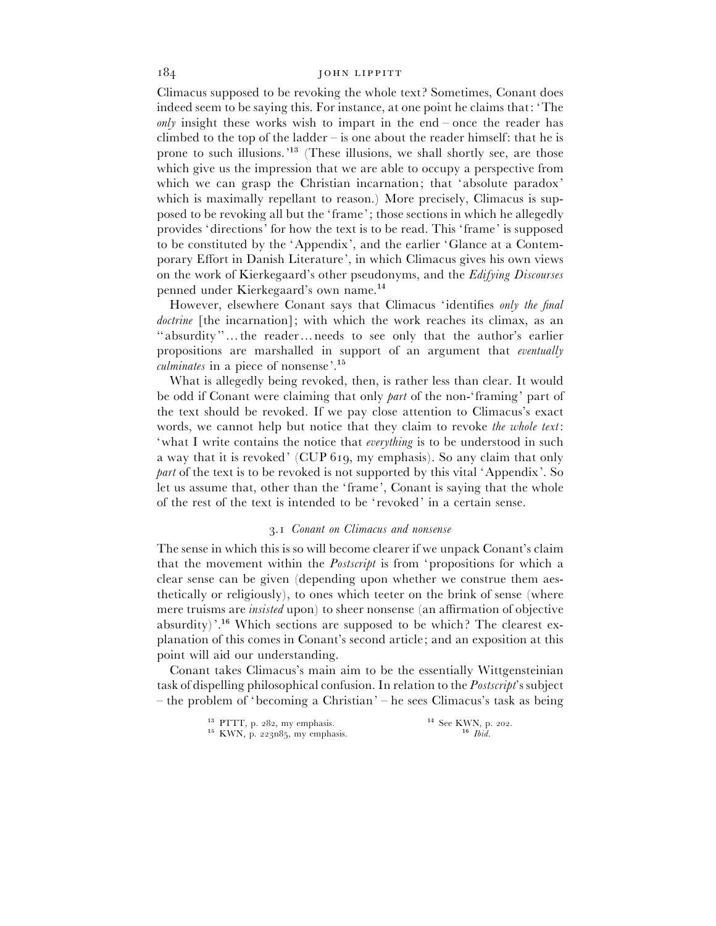Climacus supposed to be revoking the whole text? Sometimes, Conant does indeed seem to be saying this. For instance, at one point he claims that: 'The *only* insight these works wish to impart in the end – once the reader has climbed to the top of the ladder – is one about the reader himself: that he is prone to such illusions.'<sup>13</sup> (These illusions, we shall shortly see, are those which give us the impression that we are able to occupy a perspective from which we can grasp the Christian incarnation; that 'absolute paradox' which is maximally repellant to reason.) More precisely, Climacus is supposed to be revoking all but the 'frame'; those sections in which he allegedly provides 'directions' for how the text is to be read. This 'frame' is supposed to be constituted by the 'Appendix', and the earlier 'Glance at a Contemporary Effort in Danish Literature', in which Climacus gives his own views on the work of Kierkegaard's other pseudonyms, and the *Edifying Discourses* penned under Kierkegaard's own name.<sup>14</sup>

However, elsewhere Conant says that Climacus 'identifies *only the final doctrine* [the incarnation]; with which the work reaches its climax, as an '' absurdity''… the reader…needs to see only that the author's earlier propositions are marshalled in support of an argument that *eventually*  $\textit{culminates}$  in a piece of nonsense'.<sup>15</sup>

What is allegedly being revoked, then, is rather less than clear. It would be odd if Conant were claiming that only *part* of the non-'framing' part of the text should be revoked. If we pay close attention to Climacus's exact words, we cannot help but notice that they claim to revoke *the whole text*: 'what I write contains the notice that *everything* is to be understood in such a way that it is revoked' (CUP 619, my emphasis). So any claim that only *part* of the text is to be revoked is not supported by this vital 'Appendix'. So let us assume that, other than the 'frame', Conant is saying that the whole of the rest of the text is intended to be ' revoked' in a certain sense.

# . *Conant on Climacus and nonsense*

The sense in which this is so will become clearer if we unpack Conant's claim that the movement within the *Postscript* is from 'propositions for which a clear sense can be given (depending upon whether we construe them aesthetically or religiously), to ones which teeter on the brink of sense (where mere truisms are *insisted* upon) to sheer nonsense (an affirmation of objective absurdity)'.<sup>16</sup> Which sections are supposed to be which? The clearest explanation of this comes in Conant's second article; and an exposition at this point will aid our understanding.

Conant takes Climacus's main aim to be the essentially Wittgensteinian task of dispelling philosophical confusion. In relation to the *Postscript*'s subject – the problem of 'becoming a Christian' – he sees Climacus's task as being

| <sup>13</sup> PTTT, p. 282, my emphasis.   | $14$ See KWN, p. 202. |
|--------------------------------------------|-----------------------|
|                                            |                       |
| <sup>15</sup> KWN, p. 223n85, my emphasis. | $16$ <i>Ibid.</i>     |
|                                            |                       |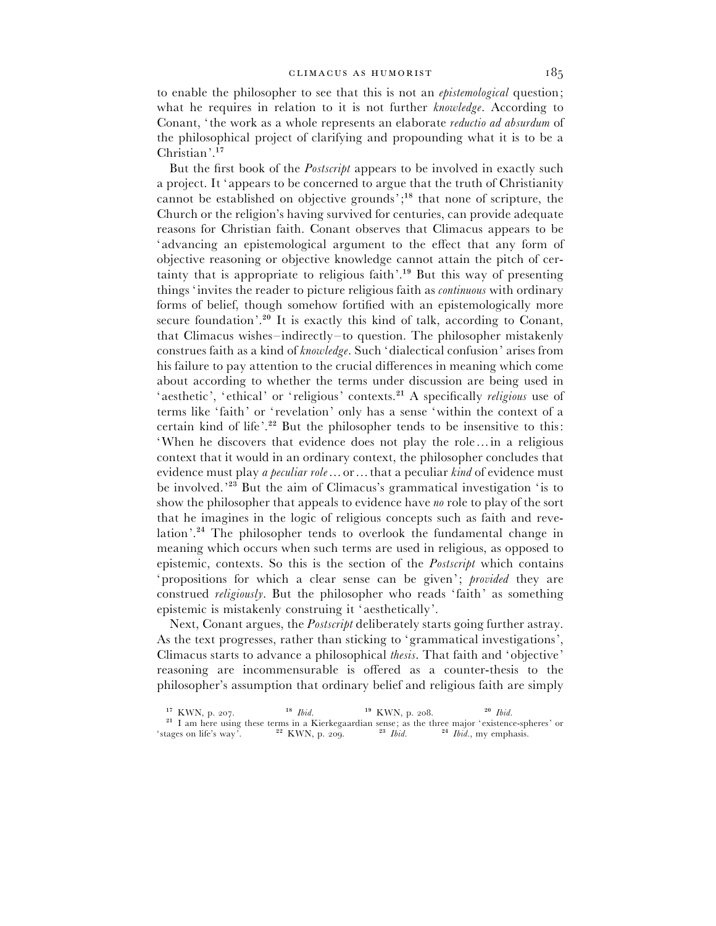to enable the philosopher to see that this is not an *epistemological* question; what he requires in relation to it is not further *knowledge*. According to Conant, ' the work as a whole represents an elaborate *reductio ad absurdum* of the philosophical project of clarifying and propounding what it is to be a Christian'.<sup>17</sup>

But the first book of the *Postscript* appears to be involved in exactly such a project. It ' appears to be concerned to argue that the truth of Christianity cannot be established on objective grounds'; $18$  that none of scripture, the Church or the religion's having survived for centuries, can provide adequate reasons for Christian faith. Conant observes that Climacus appears to be ' advancing an epistemological argument to the effect that any form of objective reasoning or objective knowledge cannot attain the pitch of certainty that is appropriate to religious faith'.<sup>19</sup> But this way of presenting things 'invites the reader to picture religious faith as *continuous* with ordinary forms of belief, though somehow fortified with an epistemologically more secure foundation'.<sup>20</sup> It is exactly this kind of talk, according to Conant, that Climacus wishes –indirectly – to question. The philosopher mistakenly construes faith as a kind of *knowledge*. Such 'dialectical confusion' arises from his failure to pay attention to the crucial differences in meaning which come about according to whether the terms under discussion are being used in 'aesthetic', 'ethical' or 'religious' contexts.<sup>21</sup> A specifically *religious* use of terms like 'faith' or ' revelation' only has a sense 'within the context of a certain kind of life'. $^{22}$  But the philosopher tends to be insensitive to this: 'When he discovers that evidence does not play the role…in a religious context that it would in an ordinary context, the philosopher concludes that evidence must play *a peculiar role…*or… that a peculiar *kind* of evidence must be involved.<sup>23</sup> But the aim of Climacus's grammatical investigation 'is to show the philosopher that appeals to evidence have *no* role to play of the sort that he imagines in the logic of religious concepts such as faith and revelation'.<sup>24</sup> The philosopher tends to overlook the fundamental change in meaning which occurs when such terms are used in religious, as opposed to epistemic, contexts. So this is the section of the *Postscript* which contains 'propositions for which a clear sense can be given'; *provided* they are construed *religiously*. But the philosopher who reads 'faith' as something epistemic is mistakenly construing it ' aesthetically'.

Next, Conant argues, the *Postscript* deliberately starts going further astray. As the text progresses, rather than sticking to ' grammatical investigations', Climacus starts to advance a philosophical *thesis*. That faith and ' objective' reasoning are incommensurable is offered as a counter-thesis to the philosopher's assumption that ordinary belief and religious faith are simply

<sup>.&</sup>lt;br>17 <sup>18</sup> *Ibid.* <sup>19</sup> KWN, p. 208. <sup>20</sup> *Ibid.*  $\frac{1}{21}$ <sup>21</sup> I am here using these terms in a Kierkegaardian sense; as the three major 'existence-spheres' or 'stages on life's way'. <sup>22</sup> KWN, p. 209. <sup>23</sup> *Ibid.* <sup>24</sup> *Ibid.*, my emphasis.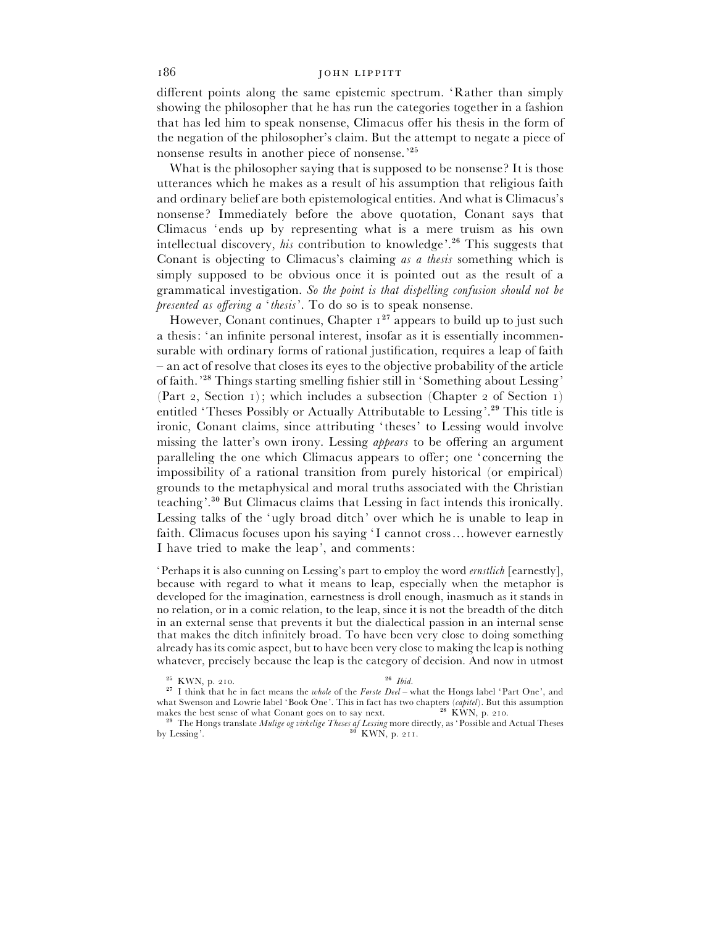different points along the same epistemic spectrum. 'Rather than simply showing the philosopher that he has run the categories together in a fashion that has led him to speak nonsense, Climacus offer his thesis in the form of the negation of the philosopher's claim. But the attempt to negate a piece of nonsense results in another piece of nonsense.<sup>'25</sup>

What is the philosopher saying that is supposed to be nonsense? It is those utterances which he makes as a result of his assumption that religious faith and ordinary belief are both epistemological entities. And what is Climacus's nonsense? Immediately before the above quotation, Conant says that Climacus 'ends up by representing what is a mere truism as his own intellectual discovery, *his* contribution to knowledge<sup>2</sup>.<sup>26</sup> This suggests that Conant is objecting to Climacus's claiming *as a thesis* something which is simply supposed to be obvious once it is pointed out as the result of a grammatical investigation. *So the point is that dispelling confusion should not be presented as offering a* '*thesis*'. To do so is to speak nonsense.

However, Conant continues, Chapter  $1^{27}$  appears to build up to just such a thesis: ' an infinite personal interest, insofar as it is essentially incommensurable with ordinary forms of rational justification, requires a leap of faith – an act of resolve that closes its eyes to the objective probability of the article of faith.<sup>'28</sup> Things starting smelling fishier still in 'Something about Lessing' (Part 2, Section 1); which includes a subsection (Chapter 2 of Section 1) entitled 'Theses Possibly or Actually Attributable to Lessing'.<sup>29</sup> This title is ironic, Conant claims, since attributing ' theses' to Lessing would involve missing the latter's own irony. Lessing *appears* to be offering an argument paralleling the one which Climacus appears to offer; one 'concerning the impossibility of a rational transition from purely historical (or empirical) grounds to the metaphysical and moral truths associated with the Christian teaching'.\$! But Climacus claims that Lessing in fact intends this ironically. Lessing talks of the 'ugly broad ditch' over which he is unable to leap in faith. Climacus focuses upon his saying 'I cannot cross…however earnestly I have tried to make the leap', and comments:

'Perhaps it is also cunning on Lessing's part to employ the word *ernstlich* [earnestly], because with regard to what it means to leap, especially when the metaphor is developed for the imagination, earnestness is droll enough, inasmuch as it stands in no relation, or in a comic relation, to the leap, since it is not the breadth of the ditch in an external sense that prevents it but the dialectical passion in an internal sense that makes the ditch infinitely broad. To have been very close to doing something already has its comic aspect, but to have been very close to making the leap is nothing whatever, precisely because the leap is the category of decision. And now in utmost

 $^{25}$  KWN, p. 210.

<sup>&</sup>lt;sup>27</sup> I think that he in fact means the *whole* of the *Første Deel* – what the Hongs label 'Part One', and what Swenson and Lowrie label 'Book One'. This in fact has two chapters (*capitel*). But this assumption makes the best sense of what Conant goes on to say next.  $\frac{^{28}}{100}$  KWN, p. 210. makes the best sense of what Conant goes on to say next.

<sup>&</sup>lt;sup>29</sup> The Hongs translate *Mulige og virkelige Theses af Lessing* more directly, as 'Possible and Actual Theses by Lessing'.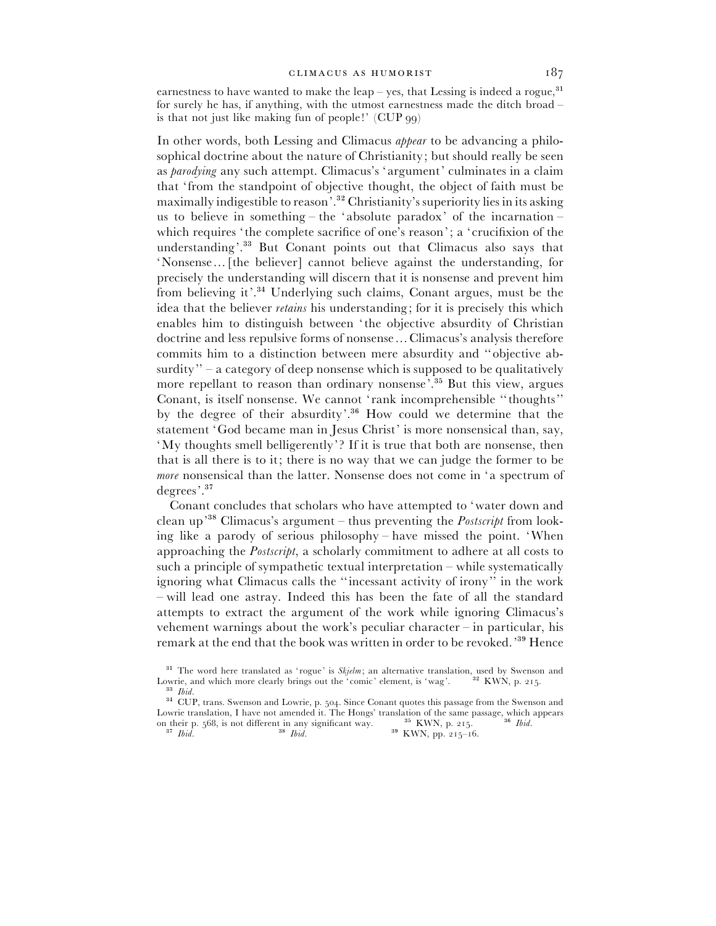earnestness to have wanted to make the leap – yes, that Lessing is indeed a rogue, $31$ for surely he has, if anything, with the utmost earnestness made the ditch broad – is that not just like making fun of people!'  $(CUP_99)$ 

In other words, both Lessing and Climacus *appear* to be advancing a philosophical doctrine about the nature of Christianity; but should really be seen as *parodying* any such attempt. Climacus's ' argument' culminates in a claim that 'from the standpoint of objective thought, the object of faith must be maximally indigestible to reason'.<sup>32</sup> Christianity's superiority lies in its asking us to believe in something – the ' absolute paradox' of the incarnation – which requires 'the complete sacrifice of one's reason'; a 'crucifixion of the understanding'.<sup>33</sup> But Conant points out that Climacus also says that 'Nonsense… [the believer] cannot believe against the understanding, for precisely the understanding will discern that it is nonsense and prevent him from believing it'.<sup>34</sup> Underlying such claims, Conant argues, must be the idea that the believer *retains* his understanding; for it is precisely this which enables him to distinguish between ' the objective absurdity of Christian doctrine and less repulsive forms of nonsense…Climacus's analysis therefore commits him to a distinction between mere absurdity and '' objective absurdity" – a category of deep nonsense which is supposed to be qualitatively more repellant to reason than ordinary nonsense'.<sup>35</sup> But this view, argues Conant, is itself nonsense. We cannot ' rank incomprehensible '' thoughts'' by the degree of their absurdity'.<sup>36</sup> How could we determine that the statement 'God became man in Jesus Christ' is more nonsensical than, say, 'My thoughts smell belligerently'? If it is true that both are nonsense, then that is all there is to it; there is no way that we can judge the former to be *more* nonsensical than the latter. Nonsense does not come in 'a spectrum of degrees'.<sup>37</sup>

Conant concludes that scholars who have attempted to 'water down and clean up'\$) Climacus's argument – thus preventing the *Postscript* from looking like a parody of serious philosophy – have missed the point. 'When approaching the *Postscript*, a scholarly commitment to adhere at all costs to such a principle of sympathetic textual interpretation – while systematically ignoring what Climacus calls the ''incessant activity of irony'' in the work – will lead one astray. Indeed this has been the fate of all the standard attempts to extract the argument of the work while ignoring Climacus's vehement warnings about the work's peculiar character – in particular, his remark at the end that the book was written in order to be revoked.<sup>39</sup> Hence

<sup>&</sup>lt;sup>31</sup> The word here translated as 'rogue' is *Skjelm*; an alternative translation, used by Swenson and The word here translated as 'rogue' is *Skjelm*; an alternative translation, used by Swenson<br>Lowrie, and which more clearly brings out the 'comic' element, is 'wag'.  $32$  KWN, p. 215. *Ibid*.

<sup>%</sup> *Ibid.*<br><sup>34</sup> CUP, trans. Swenson and Lowrie, p. 504. Since Conant quotes this passage from the Swenson and Lowrie translation, I have not amended it. The Hongs' translation of the same passage, which appears on their p. 568, is not different in any significant way.  $35$  KWN, p. 215.  $36$  Ibid. Lowrie translation, I have not amended it. The Hongs' translation of the same passage, which<br>on their p. 568, is not different in any significant way.<br><sup>35</sup> KWN, pp. 215.<br><sup>38</sup> *Ibid.*<br><sup>38</sup> *Ibid.*<br><sup>38</sup> *Ibid.*<br><sup>39</sup> KWN, pp.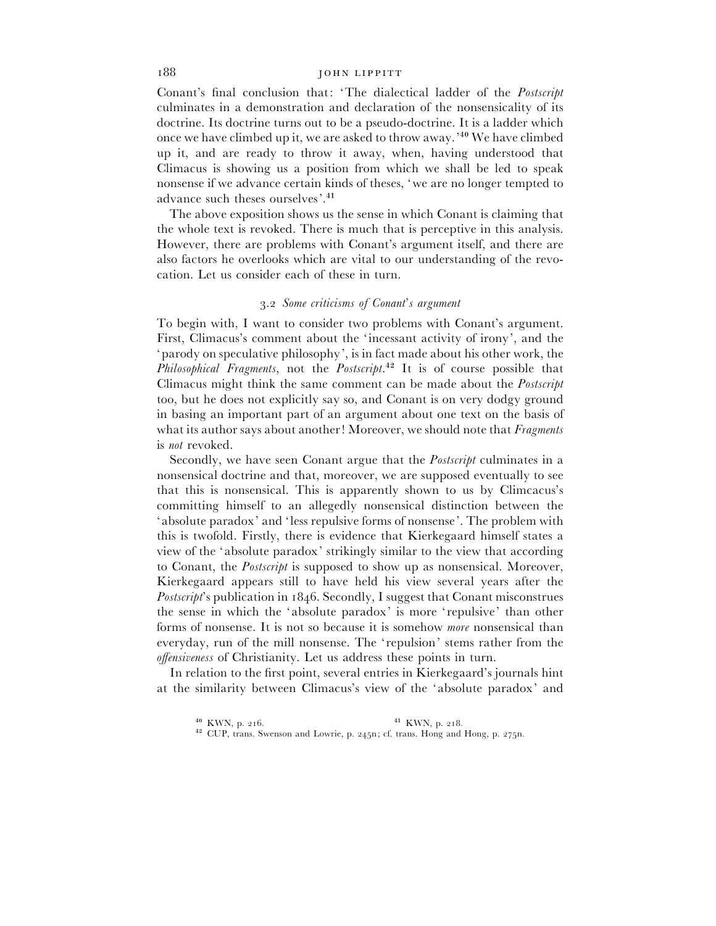Conant's final conclusion that: 'The dialectical ladder of the *Postscript* culminates in a demonstration and declaration of the nonsensicality of its doctrine. Its doctrine turns out to be a pseudo-doctrine. It is a ladder which once we have climbed up it, we are asked to throw away.<sup>'40</sup> We have climbed up it, and are ready to throw it away, when, having understood that Climacus is showing us a position from which we shall be led to speak nonsense if we advance certain kinds of theses, 'we are no longer tempted to advance such theses ourselves'.<sup>41</sup>

The above exposition shows us the sense in which Conant is claiming that the whole text is revoked. There is much that is perceptive in this analysis. However, there are problems with Conant's argument itself, and there are also factors he overlooks which are vital to our understanding of the revocation. Let us consider each of these in turn.

## . *Some criticisms of Conant*'*s argument*

To begin with, I want to consider two problems with Conant's argument. First, Climacus's comment about the 'incessant activity of irony', and the 'parody on speculative philosophy', is in fact made about his other work, the *Philosophical Fragments*, not the *Postscript*.<sup>42</sup> It is of course possible that Climacus might think the same comment can be made about the *Postscript* too, but he does not explicitly say so, and Conant is on very dodgy ground in basing an important part of an argument about one text on the basis of what its author says about another! Moreover, we should note that *Fragments* is *not* revoked.

Secondly, we have seen Conant argue that the *Postscript* culminates in a nonsensical doctrine and that, moreover, we are supposed eventually to see that this is nonsensical. This is apparently shown to us by Climcacus's committing himself to an allegedly nonsensical distinction between the ' absolute paradox' and 'less repulsive forms of nonsense'. The problem with this is twofold. Firstly, there is evidence that Kierkegaard himself states a view of the ' absolute paradox' strikingly similar to the view that according to Conant, the *Postscript* is supposed to show up as nonsensical. Moreover, Kierkegaard appears still to have held his view several years after the Postscript's publication in 1846. Secondly, I suggest that Conant misconstrues the sense in which the ' absolute paradox' is more ' repulsive' than other forms of nonsense. It is not so because it is somehow *more* nonsensical than everyday, run of the mill nonsense. The ' repulsion' stems rather from the *offensiveness* of Christianity. Let us address these points in turn.

In relation to the first point, several entries in Kierkegaard's journals hint at the similarity between Climacus's view of the ' absolute paradox' and

 $^{10}$  $41$  KWN, p. 218.  $\frac{49}{19}$ 

 $42$  CUP, trans. Swenson and Lowrie, p. 245n; cf. trans. Hong and Hong, p. 275n.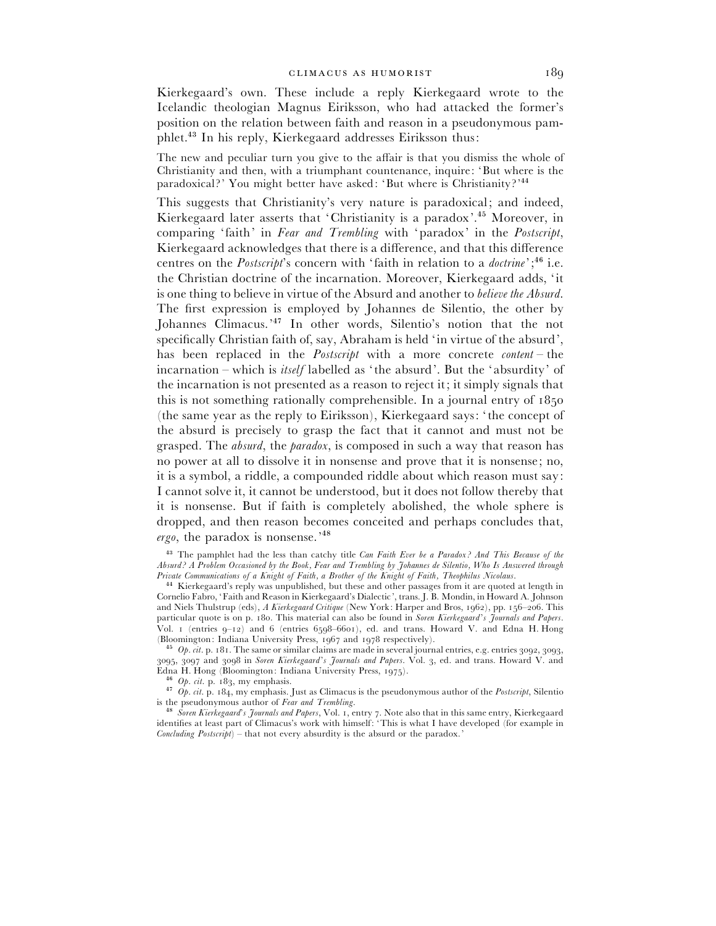#### CLIMACUS AS HUMORIST 189

Kierkegaard's own. These include a reply Kierkegaard wrote to the Icelandic theologian Magnus Eiriksson, who had attacked the former's position on the relation between faith and reason in a pseudonymous pamphlet.%\$ In his reply, Kierkegaard addresses Eiriksson thus:

The new and peculiar turn you give to the affair is that you dismiss the whole of Christianity and then, with a triumphant countenance, inquire: 'But where is the paradoxical?' You might better have asked: 'But where is Christianity?'<sup>44</sup>

This suggests that Christianity's very nature is paradoxical; and indeed, Kierkegaard later asserts that 'Christianity is a paradox'.<sup>45</sup> Moreover, in comparing 'faith' in *Fear and Trembling* with 'paradox' in the *Postscript*, Kierkegaard acknowledges that there is a difference, and that this difference centres on the *Postscript*'s concern with 'faith in relation to a *doctrine*';<sup>46</sup> i.e. the Christian doctrine of the incarnation. Moreover, Kierkegaard adds, 'it is one thing to believe in virtue of the Absurd and another to *believe the Absurd*. The first expression is employed by Johannes de Silentio, the other by Johannes Climacus.<sup>347</sup> In other words, Silentio's notion that the not specifically Christian faith of, say, Abraham is held 'in virtue of the absurd', has been replaced in the *Postscript* with a more concrete *content –* the incarnation – which is *itself* labelled as ' the absurd'. But the ' absurdity' of the incarnation is not presented as a reason to reject it; it simply signals that this is not something rationally comprehensible. In a journal entry of (the same year as the reply to Eiriksson), Kierkegaard says: ' the concept of the absurd is precisely to grasp the fact that it cannot and must not be grasped. The *absurd*, the *paradox*, is composed in such a way that reason has no power at all to dissolve it in nonsense and prove that it is nonsense; no, it is a symbol, a riddle, a compounded riddle about which reason must say: I cannot solve it, it cannot be understood, but it does not follow thereby that it is nonsense. But if faith is completely abolished, the whole sphere is dropped, and then reason becomes conceited and perhaps concludes that, *ergo*, the paradox is nonsense.<sup>'48</sup>

<sup>43</sup> The pamphlet had the less than catchy title *Can Faith Ever be a Paradox? And This Because of the Absurd ? A Problem Occasioned by the Book, Fear and Trembling by Johannes de Silentio, Who Is Answered through Private Communications of a Knight of Faith, a Brother of the Knight of Faith, Theophilus Nicolaus.* %%

<sup>44</sup> Kierkegaard's reply was unpublished, but these and other passages from it are quoted at length in Cornelio Fabro, 'Faith and Reason in Kierkegaard's Dialectic', trans. J. B. Mondin, in Howard A. Johnson and Niels Thulstrup (eds), *A Kierkegaard Critique* (New York: Harper and Bros, 1962), pp. 156–206. This particular quote is on p. . This material can also be found in *Soren Kierkegaard*'*s Journals and Papers*. Vol. I (entries 9-12) and 6 (entries 6598-6601), ed. and trans. Howard V. and Edna H. Hong (Bloomington: Indiana University Press, 1967 and 1978 respectively).

<sup>45</sup> Op. *cit*. p. 181. The same or similar claims are made in several journal entries, e.g. entries 3092, 3093, 3095, 3097 and 3098 in Soren Kierkegaard's Journals and Papers. Vol. 3, ed. and trans. Howard V. and Edna H. Hong (Bloomington: Indiana University Press, 1975).

 $^{46}$  *Op. cit.* p. 183, my emphasis.

 *Op*. *cit*. p. , my emphasis. Just as Climacus is the pseudonymous author of the *Postscript*, Silentio is the pseudonymous author of *Fear and Trembling*.

<sup>48</sup> Soren Kierkegaard's Journals and Papers, Vol. 1, entry 7. Note also that in this same entry, Kierkegaard identifies at least part of Climacus's work with himself: 'This is what I have developed (for example in *Concluding Postscript*) – that not every absurdity is the absurd or the paradox.'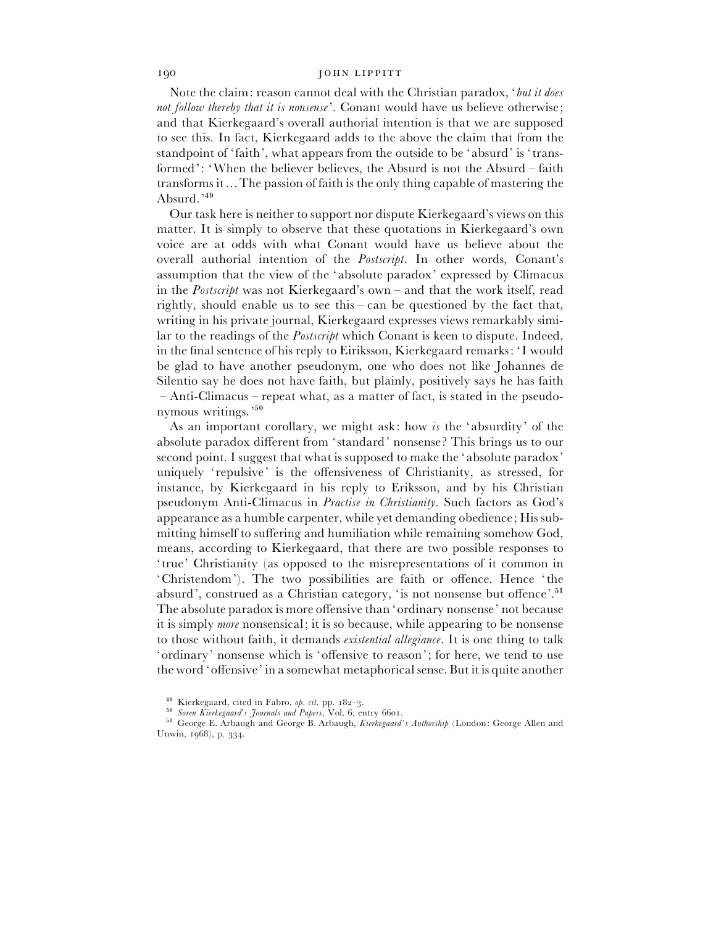Note the claim: reason cannot deal with the Christian paradox, '*but it does not follow thereby that it is nonsense*'. Conant would have us believe otherwise; and that Kierkegaard's overall authorial intention is that we are supposed to see this. In fact, Kierkegaard adds to the above the claim that from the standpoint of 'faith', what appears from the outside to be ' absurd' is ' transformed': 'When the believer believes, the Absurd is not the Absurd – faith transforms it…The passion of faith is the only thing capable of mastering the Absurd. $149$ 

Our task here is neither to support nor dispute Kierkegaard's views on this matter. It is simply to observe that these quotations in Kierkegaard's own voice are at odds with what Conant would have us believe about the overall authorial intention of the *Postscript*. In other words, Conant's assumption that the view of the ' absolute paradox' expressed by Climacus in the *Postscript* was not Kierkegaard's own – and that the work itself, read rightly, should enable us to see this – can be questioned by the fact that, writing in his private journal, Kierkegaard expresses views remarkably similar to the readings of the *Postscript* which Conant is keen to dispute. Indeed, in the final sentence of his reply to Eiriksson, Kierkegaard remarks: 'I would be glad to have another pseudonym, one who does not like Johannes de Silentio say he does not have faith, but plainly, positively says he has faith – Anti-Climacus – repeat what, as a matter of fact, is stated in the pseudonymous writings.<sup>'50</sup>

As an important corollary, we might ask: how *is* the ' absurdity' of the absolute paradox different from ' standard' nonsense ? This brings us to our second point. I suggest that what is supposed to make the ' absolute paradox' uniquely ' repulsive' is the offensiveness of Christianity, as stressed, for instance, by Kierkegaard in his reply to Eriksson, and by his Christian pseudonym Anti-Climacus in *Practise in Christianity*. Such factors as God's appearance as a humble carpenter, while yet demanding obedience; His submitting himself to suffering and humiliation while remaining somehow God, means, according to Kierkegaard, that there are two possible responses to ' true' Christianity (as opposed to the misrepresentations of it common in 'Christendom'). The two possibilities are faith or offence. Hence ' the absurd', construed as a Christian category, 'is not nonsense but offence'.<sup>51</sup> The absolute paradox is more offensive than ' ordinary nonsense' not because it is simply *more* nonsensical; it is so because, while appearing to be nonsense to those without faith, it demands *existential allegiance*. It is one thing to talk ' ordinary' nonsense which is ' offensive to reason'; for here, we tend to use the word ' offensive' in a somewhat metaphorical sense. But it is quite another

 $^{49}$  Kierkegaard, cited in Fabro, *op. cit.* pp.  $182-3$ .

<sup>&</sup>lt;sup>50</sup> Soren Kierkegaard's Journals and Papers, Vol. 6, entry 6601.

George E. Arbaugh and George B. Arbaugh, *Kierkegaard*'*s Authorship* (London: George Allen and Unwin, 1968), p. 334.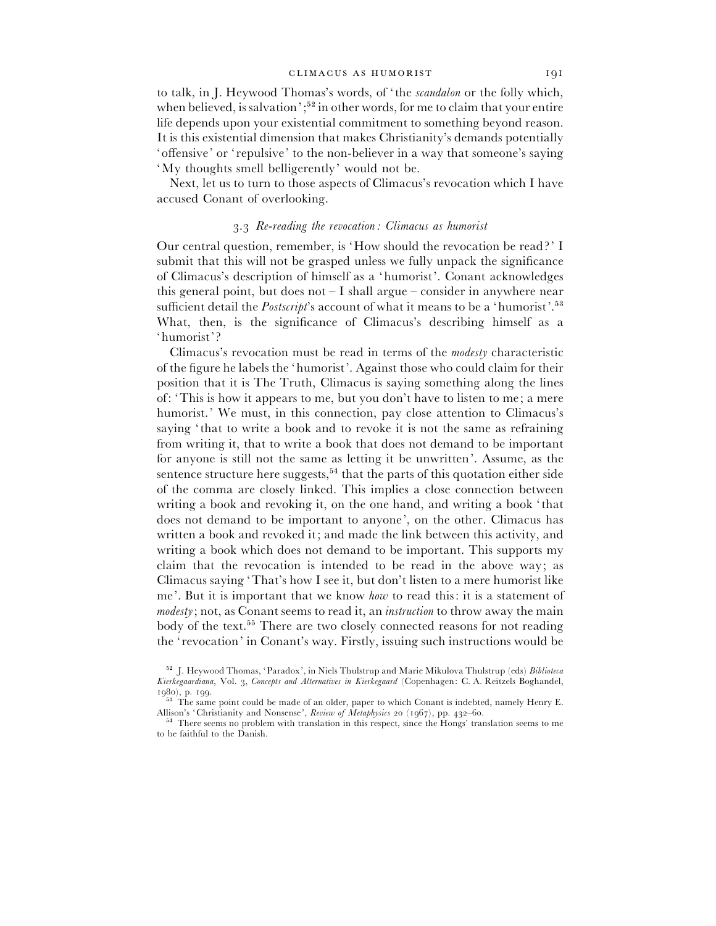to talk, in J. Heywood Thomas's words, of ' the *scandalon* or the folly which, when believed, is salvation';<sup>52</sup> in other words, for me to claim that your entire life depends upon your existential commitment to something beyond reason. It is this existential dimension that makes Christianity's demands potentially ' offensive' or ' repulsive' to the non-believer in a way that someone's saying 'My thoughts smell belligerently' would not be.

Next, let us to turn to those aspects of Climacus's revocation which I have accused Conant of overlooking.

## . *Re*-*reading the revocation : Climacus as humorist*

Our central question, remember, is 'How should the revocation be read ?' I submit that this will not be grasped unless we fully unpack the significance of Climacus's description of himself as a 'humorist'. Conant acknowledges this general point, but does not  $-$  I shall argue  $-$  consider in anywhere near sufficient detail the *Postscript*'s account of what it means to be a 'humorist'.<sup>53</sup> What, then, is the significance of Climacus's describing himself as a 'humorist'?

Climacus's revocation must be read in terms of the *modesty* characteristic of the figure he labels the 'humorist'. Against those who could claim for their position that it is The Truth, Climacus is saying something along the lines of: 'This is how it appears to me, but you don't have to listen to me; a mere humorist.' We must, in this connection, pay close attention to Climacus's saying ' that to write a book and to revoke it is not the same as refraining from writing it, that to write a book that does not demand to be important for anyone is still not the same as letting it be unwritten'. Assume, as the sentence structure here suggests,  $54$  that the parts of this quotation either side of the comma are closely linked. This implies a close connection between writing a book and revoking it, on the one hand, and writing a book ' that does not demand to be important to anyone', on the other. Climacus has written a book and revoked it; and made the link between this activity, and writing a book which does not demand to be important. This supports my claim that the revocation is intended to be read in the above way; as Climacus saying 'That's how I see it, but don't listen to a mere humorist like me'. But it is important that we know *how* to read this: it is a statement of *modesty*; not, as Conant seems to read it, an *instruction* to throw away the main body of the text.<sup>55</sup> There are two closely connected reasons for not reading the ' revocation' in Conant's way. Firstly, issuing such instructions would be

<sup>&</sup>amp;# J. Heywood Thomas, 'Paradox', in Niels Thulstrup and Marie Mikulova Thulstrup (eds) *Biblioteca Kierkegaardiana*, Vol. , *Concepts and Alternatives in Kierkegaard* (Copenhagen: C. A. Reitzels Boghandel,  $1980$ , p.  $199$ .

<sup>53</sup> The same point could be made of an older, paper to which Conant is indebted, namely Henry E. Allison's 'Christianity and Nonsense', *Review of Metaphysics* 20 (1967), pp. 432–60.

<sup>&</sup>lt;sup>54</sup> There seems no problem with translation in this respect, since the Hongs' translation seems to me to be faithful to the Danish.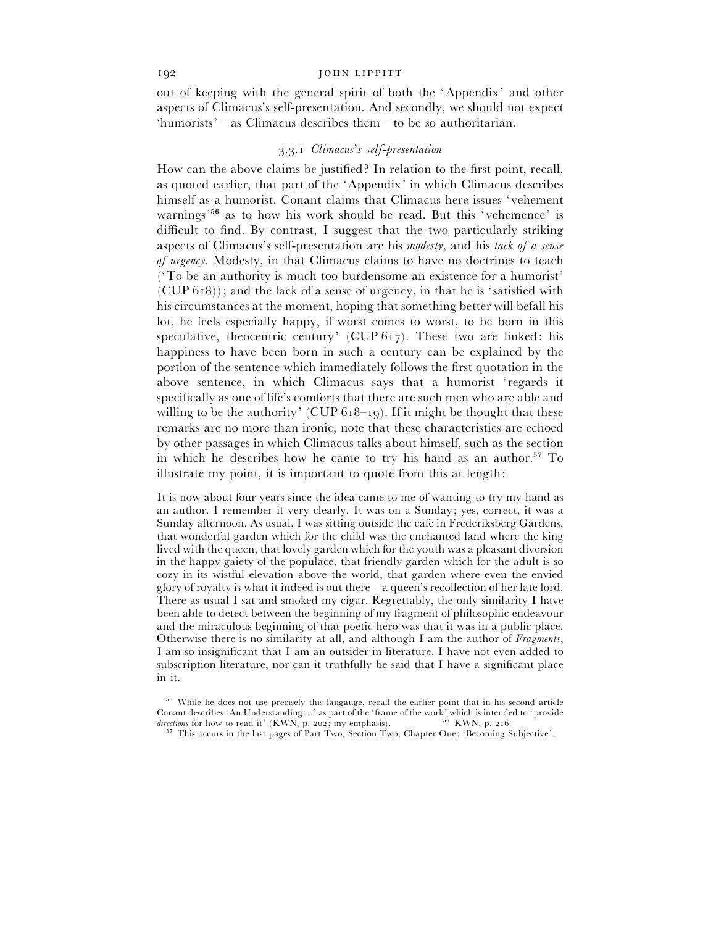out of keeping with the general spirit of both the 'Appendix' and other aspects of Climacus's self-presentation. And secondly, we should not expect 'humorists' – as Climacus describes them – to be so authoritarian.

# .. *Climacus*'*s self*-*presentation*

How can the above claims be justified ? In relation to the first point, recall, as quoted earlier, that part of the 'Appendix' in which Climacus describes himself as a humorist. Conant claims that Climacus here issues ' vehement warnings<sup>556</sup> as to how his work should be read. But this 'vehemence' is difficult to find. By contrast, I suggest that the two particularly striking aspects of Climacus's self-presentation are his *modesty*, and his *lack of a sense of urgency*. Modesty, in that Climacus claims to have no doctrines to teach ('To be an authority is much too burdensome an existence for a humorist'  $(CUP 618)$ ; and the lack of a sense of urgency, in that he is 'satisfied with his circumstances at the moment, hoping that something better will befall his lot, he feels especially happy, if worst comes to worst, to be born in this speculative, theocentric century' (CUP  $617$ ). These two are linked: his happiness to have been born in such a century can be explained by the portion of the sentence which immediately follows the first quotation in the above sentence, in which Climacus says that a humorist 'regards it specifically as one of life's comforts that there are such men who are able and willing to be the authority' (CUP  $618$ – $19$ ). If it might be thought that these remarks are no more than ironic, note that these characteristics are echoed by other passages in which Climacus talks about himself, such as the section in which he describes how he came to try his hand as an author.<sup>57</sup> To illustrate my point, it is important to quote from this at length:

It is now about four years since the idea came to me of wanting to try my hand as an author. I remember it very clearly. It was on a Sunday; yes, correct, it was a Sunday afternoon. As usual, I was sitting outside the cafe in Frederiksberg Gardens, that wonderful garden which for the child was the enchanted land where the king lived with the queen, that lovely garden which for the youth was a pleasant diversion in the happy gaiety of the populace, that friendly garden which for the adult is so cozy in its wistful elevation above the world, that garden where even the envied glory of royalty is what it indeed is out there – a queen's recollection of her late lord. There as usual I sat and smoked my cigar. Regrettably, the only similarity I have been able to detect between the beginning of my fragment of philosophic endeavour and the miraculous beginning of that poetic hero was that it was in a public place. Otherwise there is no similarity at all, and although I am the author of *Fragments*, I am so insignificant that I am an outsider in literature. I have not even added to subscription literature, nor can it truthfully be said that I have a significant place in it.

<sup>&</sup>lt;sup>55</sup> While he does not use precisely this langauge, recall the earlier point that in his second article Conant describes 'An Understanding...' as part of the 'frame of the work' which is intended to 'provide *directions* for how to read it' (KWN, p. 202; my emphasis). Conant describes 'An Understanding...' as part of the 'frame of the work' which is intended<br> *directions* for how to read it' (KWN, p. 202; my emphasis).  $56$  KWN, p. 216.

<sup>&</sup>lt;sup>57</sup> This occurs in the last pages of Part Two, Section Two, Chapter One: 'Becoming Subjective'.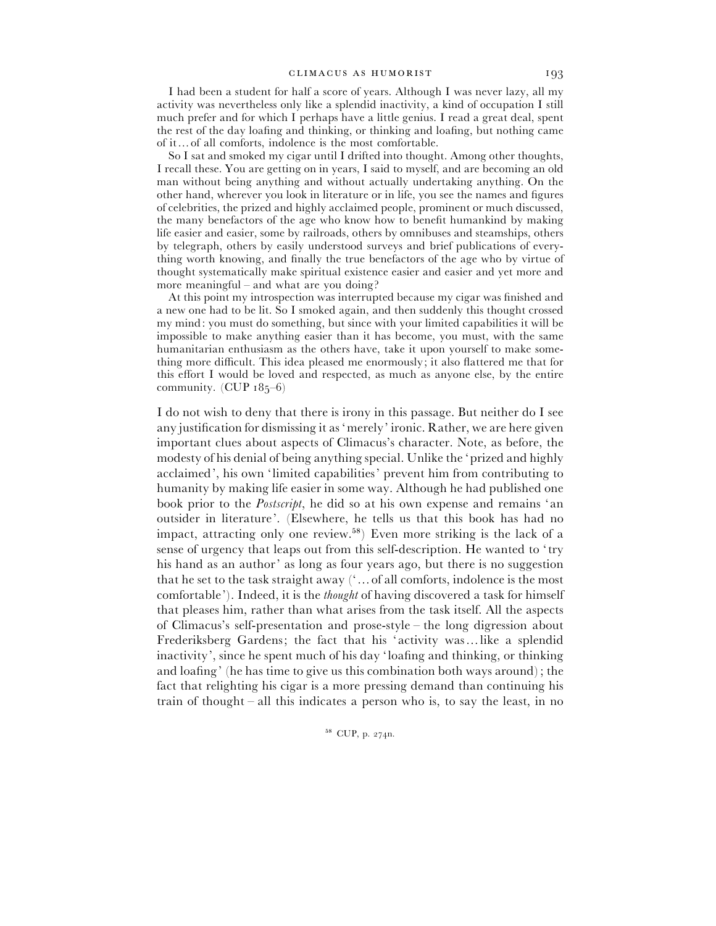I had been a student for half a score of years. Although I was never lazy, all my activity was nevertheless only like a splendid inactivity, a kind of occupation I still much prefer and for which I perhaps have a little genius. I read a great deal, spent the rest of the day loafing and thinking, or thinking and loafing, but nothing came of it… of all comforts, indolence is the most comfortable.

So I sat and smoked my cigar until I drifted into thought. Among other thoughts, I recall these. You are getting on in years, I said to myself, and are becoming an old man without being anything and without actually undertaking anything. On the other hand, wherever you look in literature or in life, you see the names and figures of celebrities, the prized and highly acclaimed people, prominent or much discussed, the many benefactors of the age who know how to benefit humankind by making life easier and easier, some by railroads, others by omnibuses and steamships, others by telegraph, others by easily understood surveys and brief publications of everything worth knowing, and finally the true benefactors of the age who by virtue of thought systematically make spiritual existence easier and easier and yet more and more meaningful – and what are you doing?

At this point my introspection was interrupted because my cigar was finished and a new one had to be lit. So I smoked again, and then suddenly this thought crossed my mind: you must do something, but since with your limited capabilities it will be impossible to make anything easier than it has become, you must, with the same humanitarian enthusiasm as the others have, take it upon yourself to make something more difficult. This idea pleased me enormously; it also flattered me that for this effort I would be loved and respected, as much as anyone else, by the entire community.  $(CUP_18_5-6)$ 

I do not wish to deny that there is irony in this passage. But neither do I see any justification for dismissing it as 'merely' ironic. Rather, we are here given important clues about aspects of Climacus's character. Note, as before, the modesty of his denial of being anything special. Unlike the 'prized and highly acclaimed', his own 'limited capabilities' prevent him from contributing to humanity by making life easier in some way. Although he had published one book prior to the *Postscript*, he did so at his own expense and remains ' an outsider in literature'. (Elsewhere, he tells us that this book has had no impact, attracting only one review.<sup>58</sup>) Even more striking is the lack of a sense of urgency that leaps out from this self-description. He wanted to ' try his hand as an author' as long as four years ago, but there is no suggestion that he set to the task straight away ('… of all comforts, indolence is the most comfortable'). Indeed, it is the *thought* of having discovered a task for himself that pleases him, rather than what arises from the task itself. All the aspects of Climacus's self-presentation and prose-style – the long digression about Frederiksberg Gardens; the fact that his ' activity was…like a splendid inactivity', since he spent much of his day 'loafing and thinking, or thinking and loafing' (he has time to give us this combination both ways around); the fact that relighting his cigar is a more pressing demand than continuing his train of thought – all this indicates a person who is, to say the least, in no

<sup>58</sup> CUP, p. 274n.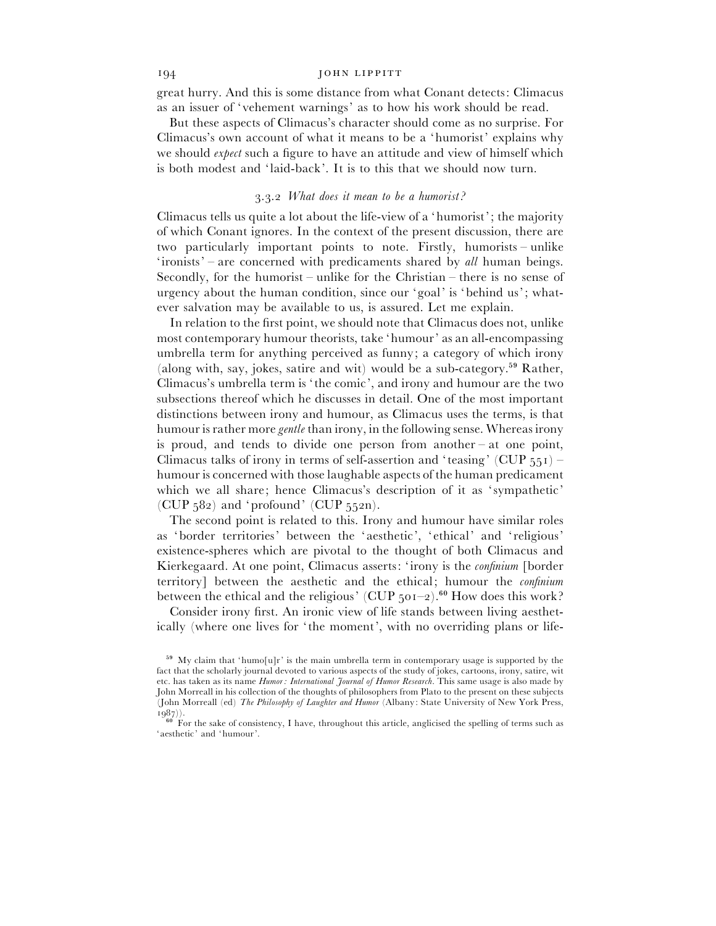great hurry. And this is some distance from what Conant detects: Climacus as an issuer of ' vehement warnings' as to how his work should be read.

But these aspects of Climacus's character should come as no surprise. For Climacus's own account of what it means to be a 'humorist' explains why we should *expect* such a figure to have an attitude and view of himself which is both modest and 'laid-back'. It is to this that we should now turn.

# .. *What does it mean to be a humorist ?*

Climacus tells us quite a lot about the life-view of a 'humorist'; the majority of which Conant ignores. In the context of the present discussion, there are two particularly important points to note. Firstly, humorists – unlike 'ironists' – are concerned with predicaments shared by *all* human beings. Secondly, for the humorist – unlike for the Christian – there is no sense of urgency about the human condition, since our ' goal' is 'behind us'; whatever salvation may be available to us, is assured. Let me explain.

In relation to the first point, we should note that Climacus does not, unlike most contemporary humour theorists, take 'humour' as an all-encompassing umbrella term for anything perceived as funny; a category of which irony (along with, say, jokes, satire and wit) would be a sub-category.<sup>59</sup> Rather, Climacus's umbrella term is ' the comic', and irony and humour are the two subsections thereof which he discusses in detail. One of the most important distinctions between irony and humour, as Climacus uses the terms, is that humour is rather more *gentle* than irony, in the following sense. Whereas irony is proud, and tends to divide one person from another – at one point, Climacus talks of irony in terms of self-assertion and 'teasing' (CUP  $551$ ) – humour is concerned with those laughable aspects of the human predicament which we all share; hence Climacus's description of it as 'sympathetic' (CUP  $582$ ) and 'profound' (CUP  $552n$ ).

The second point is related to this. Irony and humour have similar roles as 'border territories' between the ' aesthetic', 'ethical' and ' religious' existence-spheres which are pivotal to the thought of both Climacus and Kierkegaard. At one point, Climacus asserts: 'irony is the *confinium* [border territory] between the aesthetic and the ethical; humour the *confinium* between the ethical and the religious' (CUP  $50I-2$ ).<sup>60</sup> How does this work?

Consider irony first. An ironic view of life stands between living aesthetically (where one lives for 'the moment', with no overriding plans or life-

 $^{59}$  My claim that 'humo[u]r' is the main umbrella term in contemporary usage is supported by the fact that the scholarly journal devoted to various aspects of the study of jokes, cartoons, irony, satire, wit etc. has taken as its name *Humor : International Journal of Humor Research*. This same usage is also made by John Morreall in his collection of the thoughts of philosophers from Plato to the present on these subjects (John Morreall (ed) *The Philosophy of Laughter and Humor* (Albany: State University of New York Press,  $1987)$ ).

<sup>87)).&</sup>lt;br><sup>60</sup> For the sake of consistency, I have, throughout this article, anglicised the spelling of terms such as ' aesthetic' and 'humour'.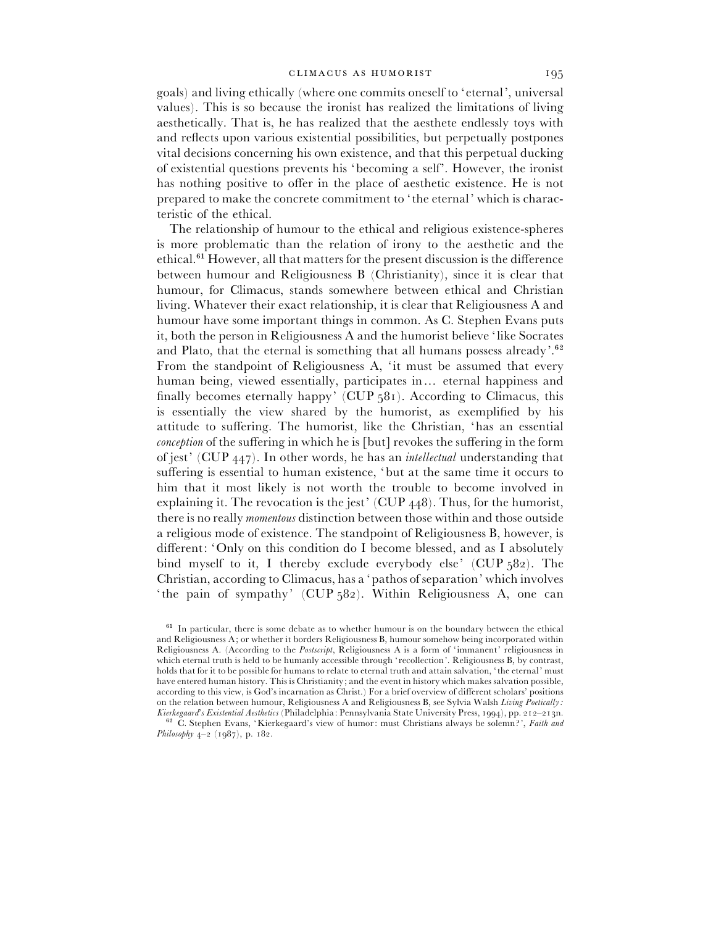goals) and living ethically (where one commits oneself to 'eternal', universal values). This is so because the ironist has realized the limitations of living aesthetically. That is, he has realized that the aesthete endlessly toys with and reflects upon various existential possibilities, but perpetually postpones vital decisions concerning his own existence, and that this perpetual ducking of existential questions prevents his 'becoming a self'. However, the ironist has nothing positive to offer in the place of aesthetic existence. He is not prepared to make the concrete commitment to ' the eternal' which is characteristic of the ethical.

The relationship of humour to the ethical and religious existence-spheres is more problematic than the relation of irony to the aesthetic and the ethical.<sup>61</sup> However, all that matters for the present discussion is the difference between humour and Religiousness B (Christianity), since it is clear that humour, for Climacus, stands somewhere between ethical and Christian living. Whatever their exact relationship, it is clear that Religiousness A and humour have some important things in common. As C. Stephen Evans puts it, both the person in Religiousness A and the humorist believe 'like Socrates and Plato, that the eternal is something that all humans possess already'.<sup>62</sup> From the standpoint of Religiousness A, 'it must be assumed that every human being, viewed essentially, participates in… eternal happiness and finally becomes eternally happy'  $(CUP_581)$ . According to Climacus, this is essentially the view shared by the humorist, as exemplified by his attitude to suffering. The humorist, like the Christian, 'has an essential *conception* of the suffering in which he is [but] revokes the suffering in the form of jest' (CUP 447). In other words, he has an *intellectual* understanding that suffering is essential to human existence, 'but at the same time it occurs to him that it most likely is not worth the trouble to become involved in explaining it. The revocation is the jest' (CUP  $448$ ). Thus, for the humorist, there is no really *momentous* distinction between those within and those outside a religious mode of existence. The standpoint of Religiousness B, however, is different: 'Only on this condition do I become blessed, and as I absolutely bind myself to it, I thereby exclude everybody else'  $(CUP_582)$ . The Christian, according to Climacus, has a 'pathos of separation' which involves 'the pain of sympathy'  $(CUP_582)$ . Within Religiousness A, one can

 $^{61}$  In particular, there is some debate as to whether humour is on the boundary between the ethical and Religiousness A; or whether it borders Religiousness B, humour somehow being incorporated within Religiousness A. (According to the *Postscript*, Religiousness A is a form of 'immanent' religiousness in which eternal truth is held to be humanly accessible through ' recollection'. Religiousness B, by contrast, holds that for it to be possible for humans to relate to eternal truth and attain salvation, ' the eternal' must have entered human history. This is Christianity; and the event in history which makes salvation possible, according to this view, is God's incarnation as Christ.) For a brief overview of different scholars' positions on the relation between humour, Religiousness A and Religiousness B, see Sylvia Walsh *Living Poetically :*

*Kierkegaard's Existential Aesthetics* (Philadelphia: Pennsylvania State University Press, 1994), pp. 212–213n.<br><sup>62</sup> C. Stephen Franz : Kierkegaard's view of humans must Christians always he aclaum <sup>2</sup>', Frith and <sup>62</sup> C. Stephen Evans, 'Kierkegaard's view of humor: must Christians always be solemn?', *Faith and* Philosophy 4-2 (1987), p. 182.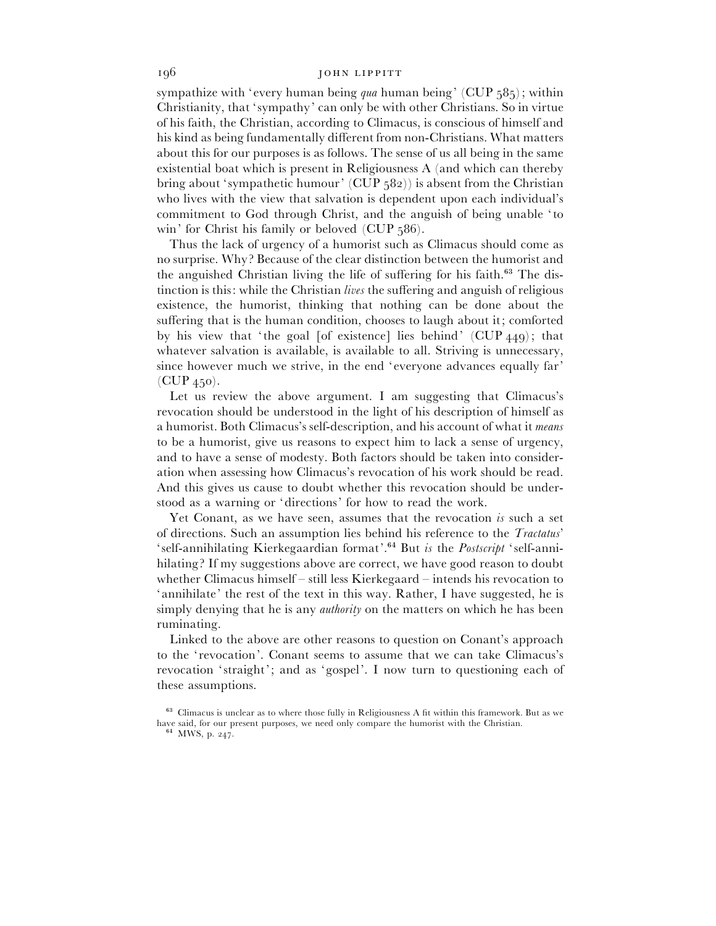sympathize with 'every human being *qua* human being' (CUP 585); within Christianity, that ' sympathy' can only be with other Christians. So in virtue of his faith, the Christian, according to Climacus, is conscious of himself and his kind as being fundamentally different from non-Christians. What matters about this for our purposes is as follows. The sense of us all being in the same existential boat which is present in Religiousness A (and which can thereby bring about 'sympathetic humour' (CUP  $582$ )) is absent from the Christian who lives with the view that salvation is dependent upon each individual's commitment to God through Christ, and the anguish of being unable ' to win' for Christ his family or beloved  $(CUP_586)$ .

Thus the lack of urgency of a humorist such as Climacus should come as no surprise. Why ? Because of the clear distinction between the humorist and the anguished Christian living the life of suffering for his faith.<sup>63</sup> The distinction is this: while the Christian *lives* the suffering and anguish of religious existence, the humorist, thinking that nothing can be done about the suffering that is the human condition, chooses to laugh about it; comforted by his view that 'the goal [of existence] lies behind'  $(CUP_{449})$ ; that whatever salvation is available, is available to all. Striving is unnecessary, since however much we strive, in the end 'everyone advances equally far'  $(CUP_{450}).$ 

Let us review the above argument. I am suggesting that Climacus's revocation should be understood in the light of his description of himself as a humorist. Both Climacus's self-description, and his account of what it *means* to be a humorist, give us reasons to expect him to lack a sense of urgency, and to have a sense of modesty. Both factors should be taken into consideration when assessing how Climacus's revocation of his work should be read. And this gives us cause to doubt whether this revocation should be understood as a warning or 'directions' for how to read the work.

Yet Conant, as we have seen, assumes that the revocation *is* such a set of directions. Such an assumption lies behind his reference to the *Tractatus*' ' self-annihilating Kierkegaardian format'.'% But *is* the *Postscript* ' self-annihilating? If my suggestions above are correct, we have good reason to doubt whether Climacus himself – still less Kierkegaard – intends his revocation to ' annihilate' the rest of the text in this way. Rather, I have suggested, he is simply denying that he is any *authority* on the matters on which he has been ruminating.

Linked to the above are other reasons to question on Conant's approach to the ' revocation'. Conant seems to assume that we can take Climacus's revocation 'straight'; and as 'gospel'. I now turn to questioning each of these assumptions.

 $^{63}$  Climacus is unclear as to where those fully in Religiousness A fit within this framework. But as we have said, for our present purposes, we need only compare the humorist with the Christian. ve said, tor our p<br><sup>64</sup> MWS, p. 247.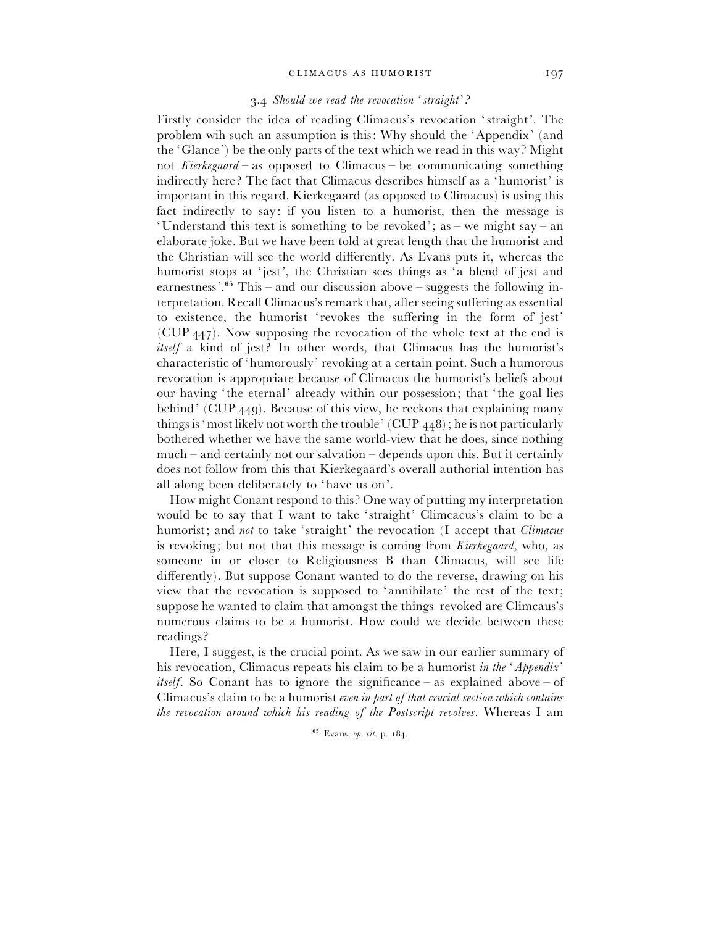#### CLIMACUS AS HUMORIST 197

#### . *Should we read the revocation* '*straight*'*?*

Firstly consider the idea of reading Climacus's revocation ' straight'. The problem wih such an assumption is this: Why should the 'Appendix' (and the 'Glance') be the only parts of the text which we read in this way ? Might not *Kierkegaard –* as opposed to Climacus – be communicating something indirectly here ? The fact that Climacus describes himself as a 'humorist' is important in this regard. Kierkegaard (as opposed to Climacus) is using this fact indirectly to say: if you listen to a humorist, then the message is 'Understand this text is something to be revoked'; as – we might say – an elaborate joke. But we have been told at great length that the humorist and the Christian will see the world differently. As Evans puts it, whereas the humorist stops at 'jest', the Christian sees things as 'a blend of jest and earnestness'.<sup>65</sup> This – and our discussion above – suggests the following interpretation. Recall Climacus's remark that, after seeing suffering as essential to existence, the humorist ' revokes the suffering in the form of jest' (CUP  $447$ ). Now supposing the revocation of the whole text at the end is *itself* a kind of jest? In other words, that Climacus has the humorist's characteristic of 'humorously' revoking at a certain point. Such a humorous revocation is appropriate because of Climacus the humorist's beliefs about our having 'the eternal' already within our possession; that 'the goal lies behind' (CUP  $449$ ). Because of this view, he reckons that explaining many things is 'most likely not worth the trouble' (CUP  $448$ ); he is not particularly bothered whether we have the same world-view that he does, since nothing much – and certainly not our salvation – depends upon this. But it certainly does not follow from this that Kierkegaard's overall authorial intention has all along been deliberately to 'have us on'.

How might Conant respond to this ? One way of putting my interpretation would be to say that I want to take 'straight' Climcacus's claim to be a humorist; and *not* to take 'straight' the revocation (I accept that *Climacus* is revoking; but not that this message is coming from *Kierkegaard*, who, as someone in or closer to Religiousness B than Climacus, will see life differently). But suppose Conant wanted to do the reverse, drawing on his view that the revocation is supposed to ' annihilate' the rest of the text; suppose he wanted to claim that amongst the things revoked are Climcaus's numerous claims to be a humorist. How could we decide between these readings ?

Here, I suggest, is the crucial point. As we saw in our earlier summary of his revocation, Climacus repeats his claim to be a humorist *in the* '*Appendix*' *itself*. So Conant has to ignore the significance – as explained above – of Climacus's claim to be a humorist *even in part of that crucial section which contains the revocation around which his reading of the Postscript revolves*. Whereas I am

<sup>65</sup> Evans, *op. cit.* p. 184.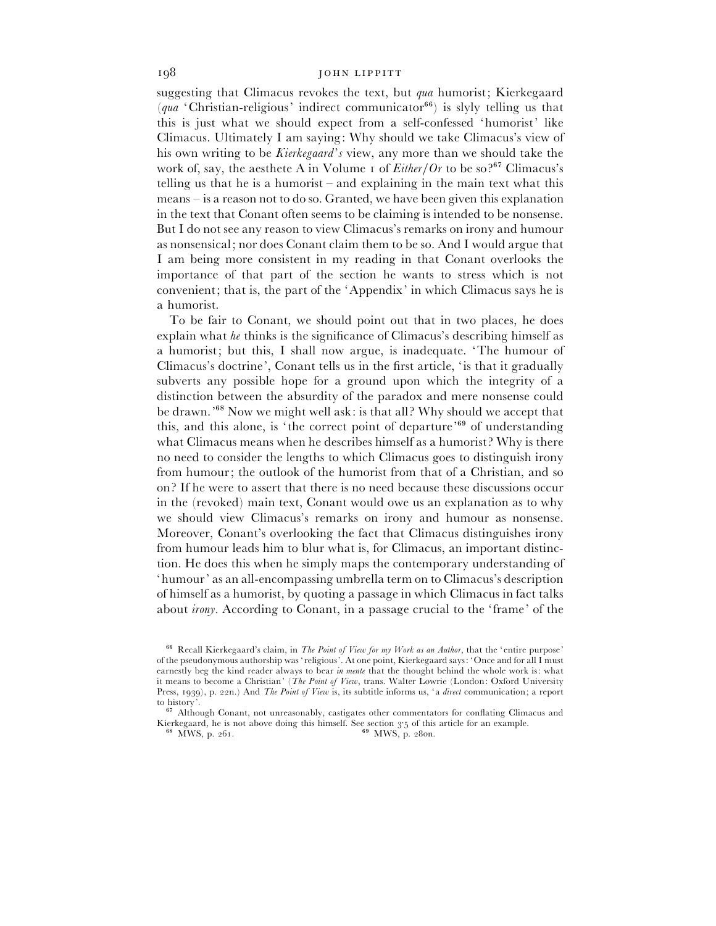suggesting that Climacus revokes the text, but *qua* humorist; Kierkegaard (*qua* 'Christian-religious' indirect communicator<sup>66</sup>) is slyly telling us that this is just what we should expect from a self-confessed 'humorist' like Climacus. Ultimately I am saying: Why should we take Climacus's view of his own writing to be *Kierkegaard*'*s* view, any more than we should take the work of, say, the aesthete A in Volume 1 of  $Either/Or$  to be so?<sup>67</sup> Climacus's telling us that he is a humorist – and explaining in the main text what this means – is a reason not to do so. Granted, we have been given this explanation in the text that Conant often seems to be claiming is intended to be nonsense. But I do not see any reason to view Climacus's remarks on irony and humour as nonsensical; nor does Conant claim them to be so. And I would argue that I am being more consistent in my reading in that Conant overlooks the importance of that part of the section he wants to stress which is not convenient; that is, the part of the 'Appendix' in which Climacus says he is a humorist.

To be fair to Conant, we should point out that in two places, he does explain what *he* thinks is the significance of Climacus's describing himself as a humorist; but this, I shall now argue, is inadequate. 'The humour of Climacus's doctrine', Conant tells us in the first article, 'is that it gradually subverts any possible hope for a ground upon which the integrity of a distinction between the absurdity of the paradox and mere nonsense could be drawn.'<sup>68</sup> Now we might well ask: is that all? Why should we accept that this, and this alone, is 'the correct point of departure'<sup>69</sup> of understanding what Climacus means when he describes himself as a humorist? Why is there no need to consider the lengths to which Climacus goes to distinguish irony from humour; the outlook of the humorist from that of a Christian, and so on ? If he were to assert that there is no need because these discussions occur in the (revoked) main text, Conant would owe us an explanation as to why we should view Climacus's remarks on irony and humour as nonsense. Moreover, Conant's overlooking the fact that Climacus distinguishes irony from humour leads him to blur what is, for Climacus, an important distinction. He does this when he simply maps the contemporary understanding of 'humour' as an all-encompassing umbrella term on to Climacus's description of himself as a humorist, by quoting a passage in which Climacus in fact talks about *irony*. According to Conant, in a passage crucial to the 'frame' of the

<sup>&</sup>lt;sup>66</sup> Recall Kierkegaard's claim, in *The Point of View for my Work as an Author*, that the 'entire purpose' of the pseudonymous authorship was ' religious'. At one point, Kierkegaard says: 'Once and for all I must earnestly beg the kind reader always to bear *in mente* that the thought behind the whole work is: what it means to become a Christian' (*The Point of View*, trans. Walter Lowrie (London: Oxford University Press, 1939), p. 22n.) And *The Point of View* is, its subtitle informs us, 'a *direct* communication; a report to history'.

<sup>&#</sup>x27;history'.<br><sup>67</sup> Although Conant, not unreasonably, castigates other commentators for conflating Climacus and Kierkegaard, he is not above doing this himself. See section  $3.5$  of this article for an example.<br><sup>68</sup> MWS, p. 261.<br><sup>69</sup> MWS, p. 280n.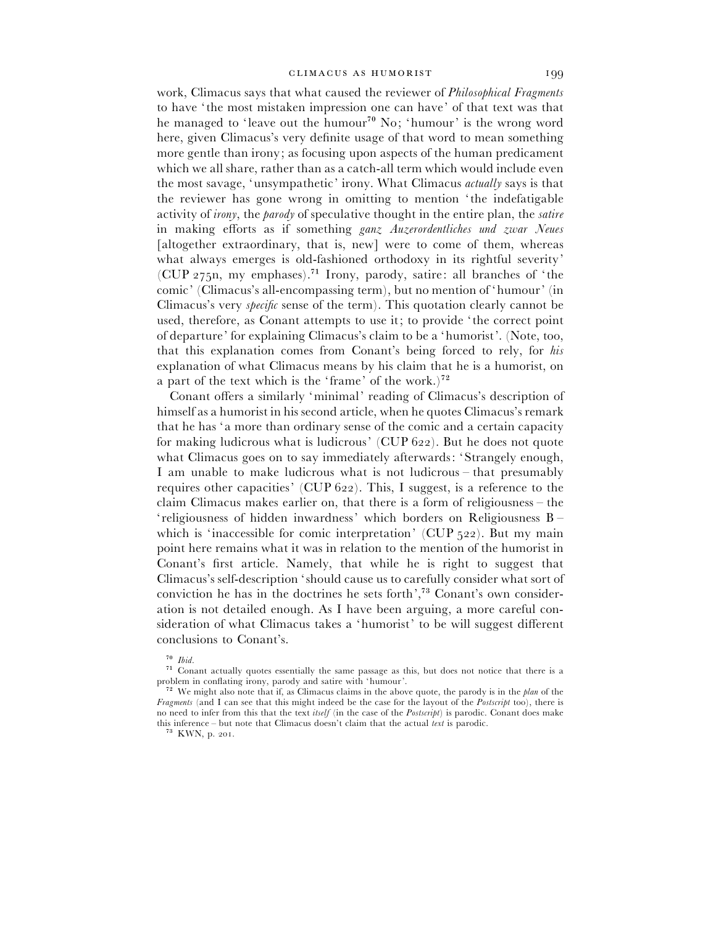work, Climacus says that what caused the reviewer of *Philosophical Fragments* to have ' the most mistaken impression one can have' of that text was that he managed to 'leave out the humour<sup>70</sup> No; 'humour' is the wrong word here, given Climacus's very definite usage of that word to mean something more gentle than irony; as focusing upon aspects of the human predicament which we all share, rather than as a catch-all term which would include even the most savage, 'unsympathetic' irony. What Climacus *actually* says is that the reviewer has gone wrong in omitting to mention ' the indefatigable activity of *irony*, the *parody* of speculative thought in the entire plan, the *satire* in making efforts as if something *ganz Auzerordentliches und zwar Neues* [altogether extraordinary, that is, new] were to come of them, whereas what always emerges is old-fashioned orthodoxy in its rightful severity' (CUP 275n, my emphases).<sup>71</sup> Irony, parody, satire: all branches of 'the comic' (Climacus's all-encompassing term), but no mention of 'humour' (in Climacus's very *specific* sense of the term). This quotation clearly cannot be used, therefore, as Conant attempts to use it; to provide ' the correct point of departure' for explaining Climacus's claim to be a 'humorist'. (Note, too, that this explanation comes from Conant's being forced to rely, for *his* explanation of what Climacus means by his claim that he is a humorist, on a part of the text which is the 'frame' of the work.)<sup>72</sup>

Conant offers a similarly 'minimal' reading of Climacus's description of himself as a humorist in his second article, when he quotes Climacus's remark that he has ' a more than ordinary sense of the comic and a certain capacity for making ludicrous what is ludicrous' (CUP  $622$ ). But he does not quote what Climacus goes on to say immediately afterwards: 'Strangely enough, I am unable to make ludicrous what is not ludicrous – that presumably requires other capacities' (CUP  $622$ ). This, I suggest, is a reference to the claim Climacus makes earlier on, that there is a form of religiousness – the ' religiousness of hidden inwardness' which borders on Religiousness B – which is 'inaccessible for comic interpretation' (CUP  $522$ ). But my main point here remains what it was in relation to the mention of the humorist in Conant's first article. Namely, that while he is right to suggest that Climacus's self-description ' should cause us to carefully consider what sort of conviction he has in the doctrines he sets forth', $7<sup>3</sup>$  Conant's own consideration is not detailed enough. As I have been arguing, a more careful consideration of what Climacus takes a 'humorist' to be will suggest different conclusions to Conant's.

 $\frac{70}{51}$  *Ibid.* 

<sup>&</sup>lt;sup>71</sup> Conant actually quotes essentially the same passage as this, but does not notice that there is a problem in conflating irony, parody and satire with 'humour'.

We might also note that if, as Climacus claims in the above quote, the parody is in the *plan* of the *Fragments* (and I can see that this might indeed be the case for the layout of the *Postscript* too), there is no need to infer from this that the text *itself* (in the case of the *Postscript*) is parodic. Conant does make this inference – but note that Climacus doesn't claim that the actual *text* is parodic.

<sup>&</sup>lt;sup>73</sup> KWN, p. 201.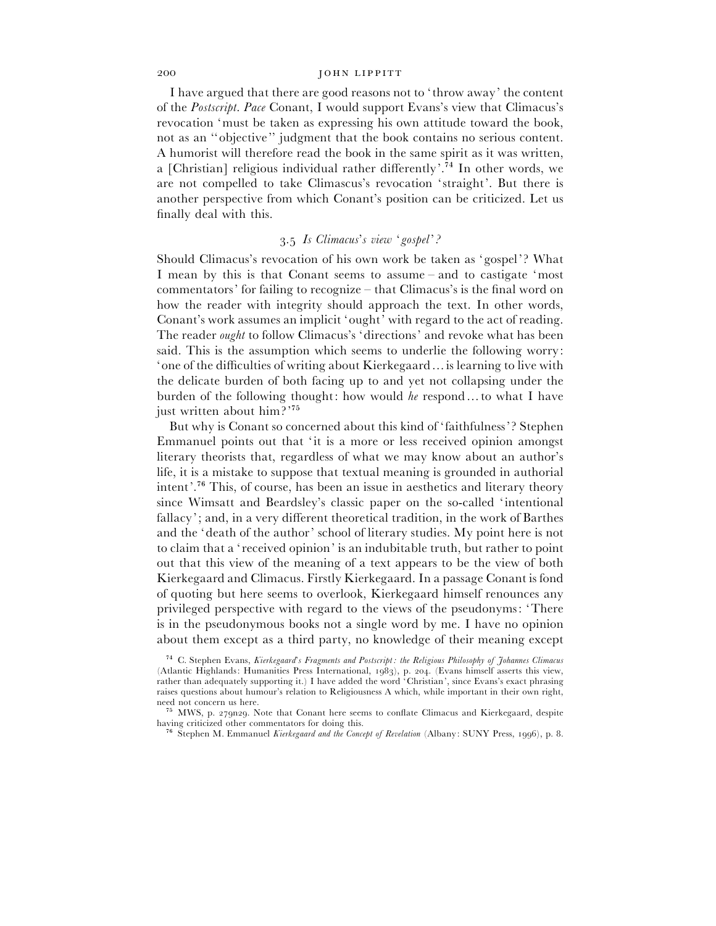I have argued that there are good reasons not to ' throw away' the content of the *Postscript*. *Pace* Conant, I would support Evans's view that Climacus's revocation 'must be taken as expressing his own attitude toward the book, not as an '' objective'' judgment that the book contains no serious content. A humorist will therefore read the book in the same spirit as it was written, a [Christian] religious individual rather differently'.<sup>74</sup> In other words, we are not compelled to take Climascus's revocation ' straight'. But there is another perspective from which Conant's position can be criticized. Let us finally deal with this.

# . *Is Climacus*'*s view* '*gospel*'*?*

Should Climacus's revocation of his own work be taken as 'gospel'? What I mean by this is that Conant seems to assume – and to castigate 'most commentators' for failing to recognize – that Climacus's is the final word on how the reader with integrity should approach the text. In other words, Conant's work assumes an implicit ' ought' with regard to the act of reading. The reader *ought* to follow Climacus's 'directions' and revoke what has been said. This is the assumption which seems to underlie the following worry: ' one of the difficulties of writing about Kierkegaard…is learning to live with the delicate burden of both facing up to and yet not collapsing under the burden of the following thought: how would *he* respond… to what I have just written about him?'<sup>75</sup>

But why is Conant so concerned about this kind of 'faithfulness' ? Stephen Emmanuel points out that 'it is a more or less received opinion amongst literary theorists that, regardless of what we may know about an author's life, it is a mistake to suppose that textual meaning is grounded in authorial intent'.<sup>76</sup> This, of course, has been an issue in aesthetics and literary theory since Wimsatt and Beardsley's classic paper on the so-called 'intentional fallacy'; and, in a very different theoretical tradition, in the work of Barthes and the 'death of the author' school of literary studies. My point here is not to claim that a ' received opinion' is an indubitable truth, but rather to point out that this view of the meaning of a text appears to be the view of both Kierkegaard and Climacus. Firstly Kierkegaard. In a passage Conant is fond of quoting but here seems to overlook, Kierkegaard himself renounces any privileged perspective with regard to the views of the pseudonyms: 'There is in the pseudonymous books not a single word by me. I have no opinion about them except as a third party, no knowledge of their meaning except

<sup>(%</sup> C. Stephen Evans, *Kierkegaard*'*s Fragments and Postscript : the Religious Philosophy of Johannes Climacus* (Atlantic Highlands: Humanities Press International, 1983), p. 204. (Evans himself asserts this view, rather than adequately supporting it.) I have added the word 'Christian', since Evans's exact phrasing raises questions about humour's relation to Religiousness A which, while important in their own right, need not concern us here.

<sup>&</sup>lt;sup>75</sup> MWS, p. 279n29. Note that Conant here seems to conflate Climacus and Kierkegaard, despite having criticized other commentators for doing this.<br>
<sup>76</sup> Starker M. Enumerual *Vinkessed* and the Cana

<sup>&</sup>lt;sup>76</sup> Stephen M. Emmanuel *Kierkegaard and the Concept of Revelation* (Albany: SUNY Press, 1996), p. 8.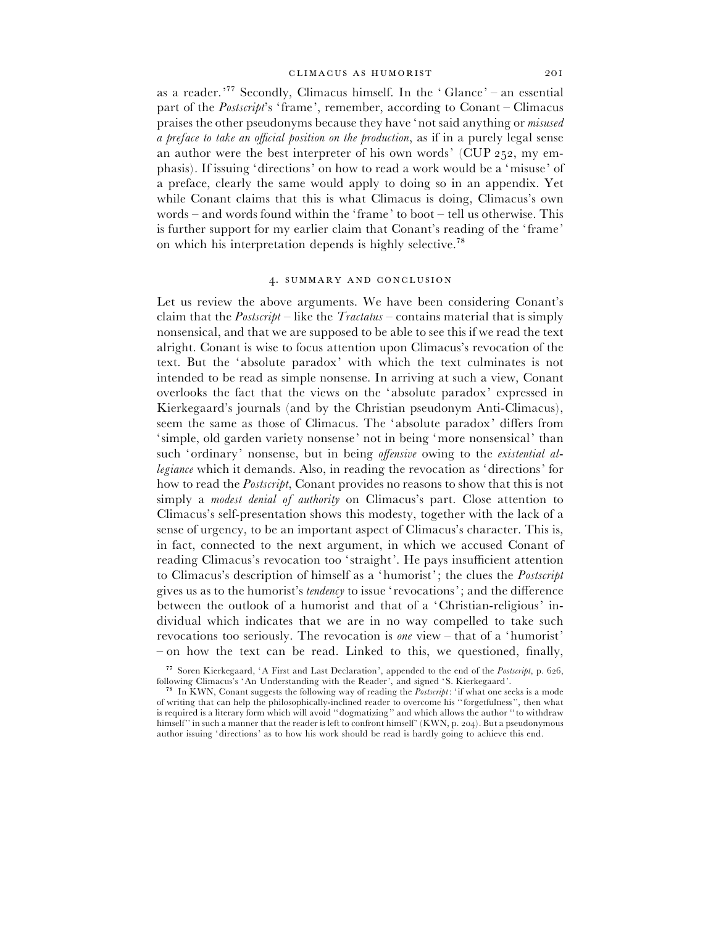#### CLIMACUS AS HUMORIST 201

as a reader.<sup>'77</sup> Secondly, Climacus himself. In the ' Glance' – an essential part of the *Postscript*'s 'frame', remember, according to Conant – Climacus praises the other pseudonyms because they have 'not said anything or *misused a preface to take an official position on the production*, as if in a purely legal sense an author were the best interpreter of his own words' (CUP  $252$ , my emphasis). If issuing 'directions' on how to read a work would be a 'misuse' of a preface, clearly the same would apply to doing so in an appendix. Yet while Conant claims that this is what Climacus is doing, Climacus's own words – and words found within the 'frame' to boot – tell us otherwise. This is further support for my earlier claim that Conant's reading of the 'frame' on which his interpretation depends is highly selective.<sup>78</sup>

## 4. SUMMARY AND CONCLUSION

Let us review the above arguments. We have been considering Conant's claim that the *Postscript –* like the *Tractatus –* contains material that is simply nonsensical, and that we are supposed to be able to see this if we read the text alright. Conant is wise to focus attention upon Climacus's revocation of the text. But the 'absolute paradox' with which the text culminates is not intended to be read as simple nonsense. In arriving at such a view, Conant overlooks the fact that the views on the ' absolute paradox' expressed in Kierkegaard's journals (and by the Christian pseudonym Anti-Climacus), seem the same as those of Climacus. The ' absolute paradox' differs from ' simple, old garden variety nonsense' not in being 'more nonsensical' than such ' ordinary' nonsense, but in being *offensive* owing to the *existential allegiance* which it demands. Also, in reading the revocation as 'directions' for how to read the *Postscript*, Conant provides no reasons to show that this is not simply a *modest denial of authority* on Climacus's part. Close attention to Climacus's self-presentation shows this modesty, together with the lack of a sense of urgency, to be an important aspect of Climacus's character. This is, in fact, connected to the next argument, in which we accused Conant of reading Climacus's revocation too ' straight'. He pays insufficient attention to Climacus's description of himself as a 'humorist'; the clues the *Postscript* gives us as to the humorist's *tendency* to issue ' revocations'; and the difference between the outlook of a humorist and that of a 'Christian-religious' individual which indicates that we are in no way compelled to take such revocations too seriously. The revocation is *one* view – that of a 'humorist' – on how the text can be read. Linked to this, we questioned, finally,

<sup>&</sup>lt;sup>77</sup> Soren Kierkegaard, 'A First and Last Declaration', appended to the end of the *Postscript*, p. 626, following Climacus's 'An Understanding with the Reader', and signed 'S. Kierkegaard'.

In KWN, Conant suggests the following way of reading the *Postscript*: 'if what one seeks is a mode of writing that can help the philosophically-inclined reader to overcome his ''forgetfulness'', then what is required is a literary form which will avoid ''dogmatizing'' and which allows the author '' to withdraw himself" in such a manner that the reader is left to confront himself" (KWN, p. 204). But a pseudonymous author issuing 'directions' as to how his work should be read is hardly going to achieve this end.